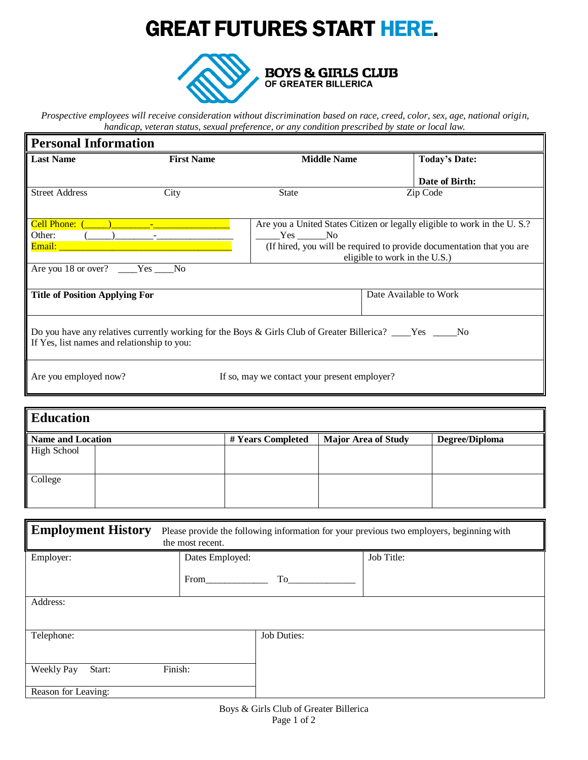## **GREAT FUTURES START HERE.**



*Prospective employees will receive consideration without discrimination based on race, creed, color, sex, age, national origin, handicap, veteran status, sexual preference, or any condition prescribed by state or local law.*

 $\overline{a}$ 

| <b>Personal Information</b>                 |                   |                                                                                                             |                                                                          |  |  |
|---------------------------------------------|-------------------|-------------------------------------------------------------------------------------------------------------|--------------------------------------------------------------------------|--|--|
| <b>Last Name</b>                            | <b>First Name</b> | <b>Middle Name</b>                                                                                          | <b>Today's Date:</b>                                                     |  |  |
|                                             |                   |                                                                                                             | Date of Birth:                                                           |  |  |
| <b>Street Address</b>                       | City              | <b>State</b>                                                                                                | Zip Code                                                                 |  |  |
|                                             |                   |                                                                                                             |                                                                          |  |  |
| Cell Phone:                                 |                   |                                                                                                             | Are you a United States Citizen or legally eligible to work in the U.S.? |  |  |
| Other:                                      |                   | Yes No                                                                                                      |                                                                          |  |  |
| Email:                                      |                   |                                                                                                             | (If hired, you will be required to provide documentation that you are    |  |  |
|                                             |                   |                                                                                                             | eligible to work in the U.S.)                                            |  |  |
| Are you 18 or over? ____Yes ____No          |                   |                                                                                                             |                                                                          |  |  |
| <b>Title of Position Applying For</b>       |                   |                                                                                                             | Date Available to Work                                                   |  |  |
|                                             |                   |                                                                                                             |                                                                          |  |  |
| If Yes, list names and relationship to you: |                   | Do you have any relatives currently working for the Boys & Girls Club of Greater Billerica? ____Yes _____No |                                                                          |  |  |
| Are you employed now?                       |                   | If so, may we contact your present employer?                                                                |                                                                          |  |  |

| <b>Education</b>         |  |                   |                            |                |  |
|--------------------------|--|-------------------|----------------------------|----------------|--|
| <b>Name and Location</b> |  | # Years Completed | <b>Major Area of Study</b> | Degree/Diploma |  |
| <b>High School</b>       |  |                   |                            |                |  |
| College                  |  |                   |                            |                |  |

| <b>Employment History</b><br>Please provide the following information for your previous two employers, beginning with<br>the most recent. |                 |                    |            |  |  |
|-------------------------------------------------------------------------------------------------------------------------------------------|-----------------|--------------------|------------|--|--|
| Employer:                                                                                                                                 | Dates Employed: |                    | Job Title: |  |  |
|                                                                                                                                           | From            | To                 |            |  |  |
| Address:                                                                                                                                  |                 |                    |            |  |  |
| Telephone:                                                                                                                                |                 | <b>Job Duties:</b> |            |  |  |
| Weekly Pay<br>Start:                                                                                                                      | Finish:         |                    |            |  |  |
| Reason for Leaving:                                                                                                                       |                 |                    |            |  |  |